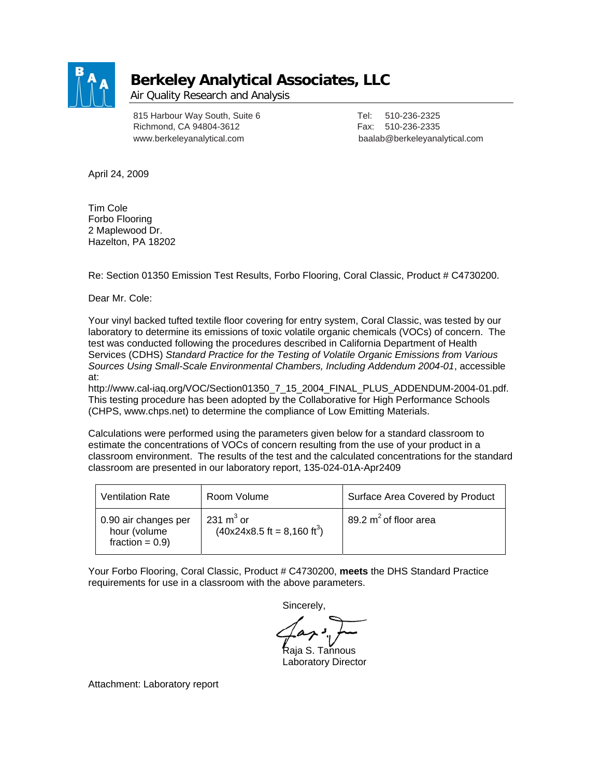

## **Berkeley Analytical Associates, LLC**

Air Quality Research and Analysis

815 Harbour Way South, Suite 6 Tel: 510-236-2325 Richmond, CA 94804-3612 Fax: 510-236-2335

www.berkeleyanalytical.com baalab@berkeleyanalytical.com

April 24, 2009

Tim Cole Forbo Flooring 2 Maplewood Dr. Hazelton, PA 18202

Re: Section 01350 Emission Test Results, Forbo Flooring, Coral Classic, Product # C4730200.

Dear Mr. Cole:

Your vinyl backed tufted textile floor covering for entry system, Coral Classic, was tested by our laboratory to determine its emissions of toxic volatile organic chemicals (VOCs) of concern. The test was conducted following the procedures described in California Department of Health Services (CDHS) *Standard Practice for the Testing of Volatile Organic Emissions from Various Sources Using Small-Scale Environmental Chambers, Including Addendum 2004-01*, accessible at:

http://www.cal-iaq.org/VOC/Section01350\_7\_15\_2004\_FINAL\_PLUS\_ADDENDUM-2004-01.pdf. This testing procedure has been adopted by the Collaborative for High Performance Schools (CHPS, www.chps.net) to determine the compliance of Low Emitting Materials.

Calculations were performed using the parameters given below for a standard classroom to estimate the concentrations of VOCs of concern resulting from the use of your product in a classroom environment. The results of the test and the calculated concentrations for the standard classroom are presented in our laboratory report, 135-024-01A-Apr2409

| <b>Ventilation Rate</b>                                    | Room Volume                                                  | Surface Area Covered by Product |
|------------------------------------------------------------|--------------------------------------------------------------|---------------------------------|
| 0.90 air changes per<br>hour (volume<br>fraction = $0.9$ ) | 231 $m3$ or<br>$(40x24x8.5 \text{ ft} = 8,160 \text{ ft}^3)$ | 89.2 $m^2$ of floor area        |

Your Forbo Flooring, Coral Classic, Product # C4730200, **meets** the DHS Standard Practice requirements for use in a classroom with the above parameters.

Sincerely,

 $\mathsf{a}$ ia S. Tannous

Laboratory Director

Attachment: Laboratory report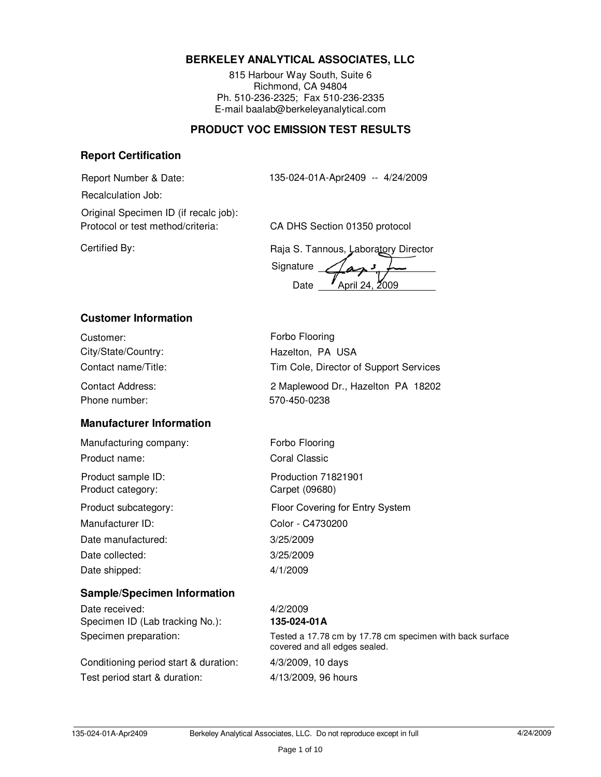## **BERKELEY ANALYTICAL ASSOCIATES, LLC**

815 Harbour Way South, Suite 6 Richmond, CA 94804 Ph. 510-236-2325; Fax 510-236-2335 E-mail baalab@berkeleyanalytical.com

## **PRODUCT VOC EMISSION TEST RESULTS**

#### **Report Certification**

Report Number & Date: 135-024-01A-Apr2409 -- 4/24/2009

Recalculation Job:

Protocol or test method/criteria: CA DHS Section 01350 protocol Original Specimen ID (if recalc job):

Certified By: Certified By: Certified By: Certified By: Certified By:

Signature Date **/** April 24, 2009

## **Customer Information**

Customer: **Forbo Flooring** City/State/Country: Hazelton, PA USA Contact name/Title: Tim Cole, Director of Support Services

Phone number: 570-450-0238 Contact Address: 2 Maplewood Dr., Hazelton PA 18202

## **Manufacturer Information**

Manufacturing company: Forbo Flooring Product name: Coral Classic

Product category: Carpet (09680)

Manufacturer ID: Color - C4730200 Date manufactured: 3/25/2009 Date collected: 3/25/2009 Date shipped: 4/1/2009

Product subcategory: Floor Covering for Entry System Product sample ID: Production 71821901

## **Sample/Specimen Information**

Date received: 4/2/2009 Specimen ID (Lab tracking No.): **135-024-01A**

Conditioning period start & duration: 4/3/2009, 10 days Test period start & duration: 4/13/2009, 96 hours

# Specimen preparation: Tested a 17.78 cm by 17.78 cm specimen with back surface

covered and all edges sealed.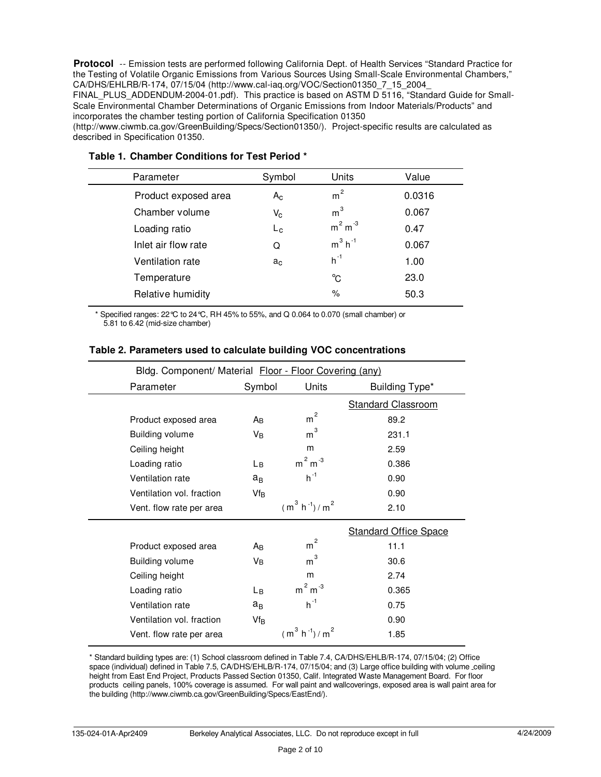Protocol -- Emission tests are performed following California Dept. of Health Services "Standard Practice for the Testing of Volatile Organic Emissions from Various Sources Using Small-Scale Environmental Chambers," CA/DHS/EHLRB/R-174, 07/15/04 (http://www.cal-iaq.org/VOC/Section01350\_7\_15\_2004\_

FINAL PLUS ADDENDUM-2004-01.pdf). This practice is based on ASTM D 5116, "Standard Guide for Small-Scale Environmental Chamber Determinations of Organic Emissions from Indoor Materials/Products" and incorporates the chamber testing portion of California Specification 01350

(http://www.ciwmb.ca.gov/GreenBuilding/Specs/Section01350/). Project-specific results are calculated as described in Specification 01350.

| Parameter            | Symbol                    | Units                 | Value  |  |
|----------------------|---------------------------|-----------------------|--------|--|
| Product exposed area | $A_{C}$                   | m <sup>2</sup>        | 0.0316 |  |
| Chamber volume       | $\mathsf{V}_{\mathsf{C}}$ | m <sup>3</sup>        | 0.067  |  |
| Loading ratio        | $L_{\rm c}$               | $m2 m-3$              | 0.47   |  |
| Inlet air flow rate  | Q                         | $m^3$ h <sup>-1</sup> | 0.067  |  |
| Ventilation rate     | a <sub>c</sub>            | $h^{-1}$              | 1.00   |  |
| Temperature          |                           | °C                    | 23.0   |  |
| Relative humidity    |                           | $\%$                  | 50.3   |  |
|                      |                           |                       |        |  |

## **Table 1. Chamber Conditions for Test Period \***

\* Specified ranges: 22°C to 24°C, RH 45% to 55%, and Q 0.064 to 0.070 (small chamber) or 5.81 to 6.42 (mid-size chamber)

|                           | Bldg. Component/ Material Floor - Floor Covering (any) |                     |                              |  |
|---------------------------|--------------------------------------------------------|---------------------|------------------------------|--|
| Parameter                 | Symbol                                                 | Units               | Building Type*               |  |
|                           |                                                        |                     | <b>Standard Classroom</b>    |  |
| Product exposed area      | Aв                                                     | $\overline{c}$<br>m | 89.2                         |  |
| <b>Building volume</b>    | Vв                                                     | $\rm m^3$           | 231.1                        |  |
| Ceiling height            |                                                        | m                   | 2.59                         |  |
| Loading ratio             | Lв                                                     | $m2 m-3$            | 0.386                        |  |
| Ventilation rate          | $a_B$                                                  | $h^{-1}$            | 0.90                         |  |
| Ventilation vol. fraction | Vf <sub>B</sub>                                        |                     | 0.90                         |  |
| Vent. flow rate per area  |                                                        | $(m^3 h^{-1})/m^2$  | 2.10                         |  |
|                           |                                                        |                     | <b>Standard Office Space</b> |  |
| Product exposed area      | Aв                                                     | $\overline{c}$<br>m | 11.1                         |  |
| <b>Building volume</b>    | Vв                                                     | 3<br>m              | 30.6                         |  |
| Ceiling height            |                                                        | m                   | 2.74                         |  |
| Loading ratio             | Lв                                                     | $m2 m-3$            | 0.365                        |  |
| Ventilation rate          | $a_B$                                                  | $h^{-1}$            | 0.75                         |  |
| Ventilation vol. fraction | $Vf_B$                                                 |                     | 0.90                         |  |
| Vent. flow rate per area  |                                                        | $(m^3 h^{-1})/m^2$  | 1.85                         |  |

#### **Table 2. Parameters used to calculate building VOC concentrations**

\* Standard building types are: (1) School classroom defined in Table 7.4, CA/DHS/EHLB/R-174, 07/15/04; (2) Office space (individual) defined in Table 7.5, CA/DHS/EHLB/R-174, 07/15/04; and (3) Large office building with volume ceiling height from East End Project, Products Passed Section 01350, Calif. Integrated Waste Management Board. For floor products ceiling panels, 100% coverage is assumed. For wall paint and wallcoverings, exposed area is wall paint area for the building (http://www.ciwmb.ca.gov/GreenBuilding/Specs/EastEnd/).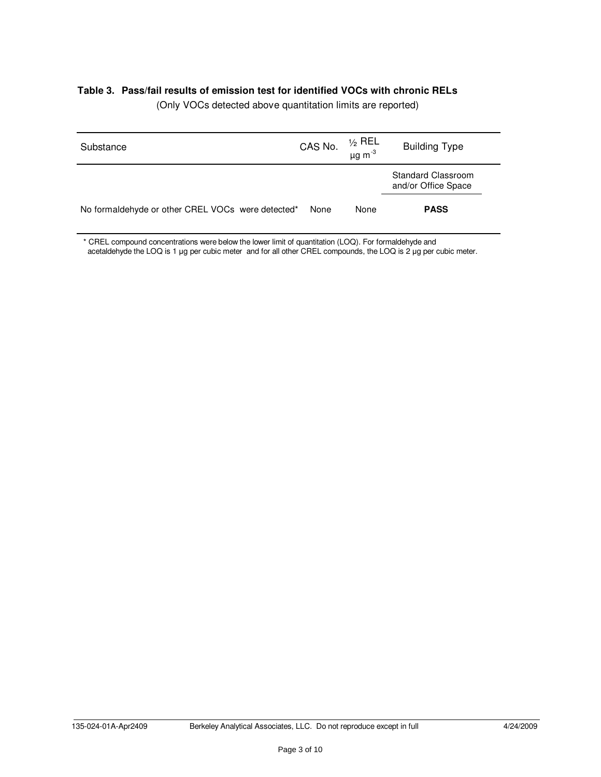#### **Table 3. Pass/fail results of emission test for identified VOCs with chronic RELs**

| Substance                                         | CAS No. | ½ REL<br>μg m <sup>-3</sup> | <b>Building Type</b>                             |
|---------------------------------------------------|---------|-----------------------------|--------------------------------------------------|
|                                                   |         |                             | <b>Standard Classroom</b><br>and/or Office Space |
| No formaldehyde or other CREL VOCs were detected* | None    | None                        | <b>PASS</b>                                      |

(Only VOCs detected above quantitation limits are reported)

\* CREL compound concentrations were below the lower limit of quantitation (LOQ). For formaldehyde and acetaldehyde the LOQ is 1 µg per cubic meter and for all other CREL compounds, the LOQ is 2 µg per cubic meter.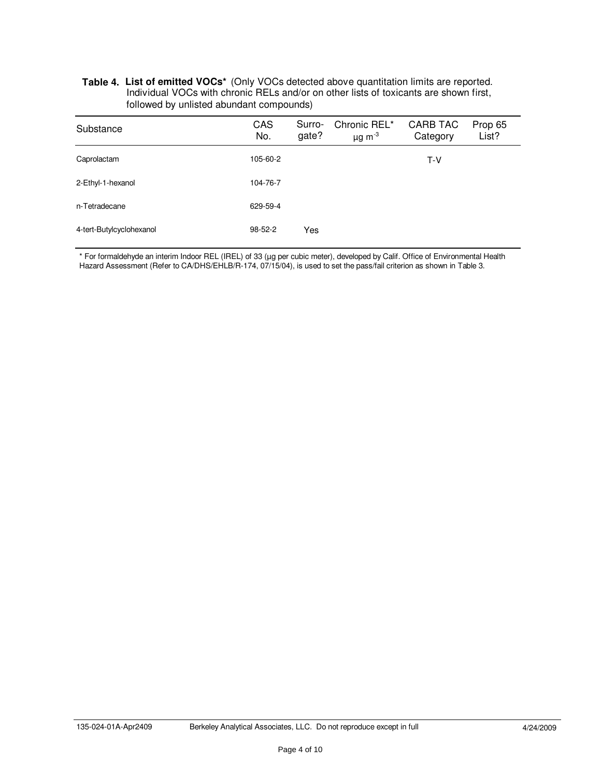#### **Table 4. List of emitted VOCs\*** (Only VOCs detected above quantitation limits are reported. Individual VOCs with chronic RELs and/or on other lists of toxicants are shown first, followed by unlisted abundant compounds)

| Substance                | <b>CAS</b><br>No. | Surro-<br>gate? | Chronic REL*<br>$\mu$ g m <sup>-3</sup> | CARB TAC<br>Category | Prop 65<br>List? |
|--------------------------|-------------------|-----------------|-----------------------------------------|----------------------|------------------|
| Caprolactam              | 105-60-2          |                 |                                         | $T-V$                |                  |
| 2-Ethyl-1-hexanol        | 104-76-7          |                 |                                         |                      |                  |
| n-Tetradecane            | 629-59-4          |                 |                                         |                      |                  |
| 4-tert-Butylcyclohexanol | $98 - 52 - 2$     | Yes             |                                         |                      |                  |

\* For formaldehyde an interim Indoor REL (IREL) of 33 (µg per cubic meter), developed by Calif. Office of Environmental Health Hazard Assessment (Refer to CA/DHS/EHLB/R-174, 07/15/04), is used to set the pass/fail criterion as shown in Table 3.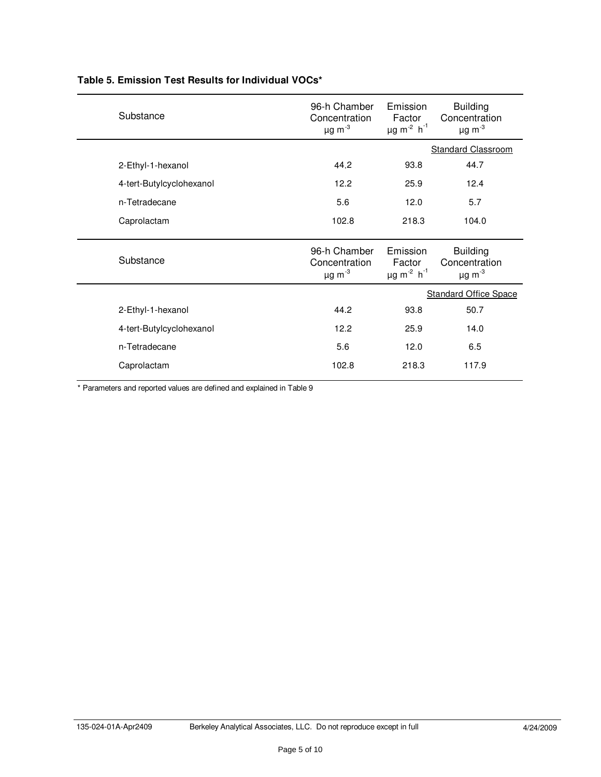| Substance                | 96-h Chamber<br>Concentration<br>$\mu$ g m $^{-3}$ | Emission<br>Factor<br>$\mu$ g m <sup>-2</sup> h <sup>-1</sup> | <b>Building</b><br>Concentration<br>$\mu$ g m $^{-3}$ |
|--------------------------|----------------------------------------------------|---------------------------------------------------------------|-------------------------------------------------------|
|                          |                                                    |                                                               | Standard Classroom                                    |
| 2-Ethyl-1-hexanol        | 44.2                                               | 93.8                                                          | 44.7                                                  |
| 4-tert-Butylcyclohexanol | 12.2                                               | 25.9                                                          | 12.4                                                  |
| n-Tetradecane            | 5.6                                                | 12.0                                                          | 5.7                                                   |
| Caprolactam              | 102.8                                              | 218.3                                                         | 104.0                                                 |
|                          | 96-h Chamber                                       | Emission                                                      | <b>Building</b>                                       |
| Substance                | Concentration<br>$\mu$ g m $^{-3}$                 | Factor<br>$\mu$ g m <sup>-2</sup> h <sup>-1</sup>             | Concentration<br>$\mu$ g m <sup>-3</sup>              |
|                          |                                                    |                                                               | <b>Standard Office Space</b>                          |
| 2-Ethyl-1-hexanol        | 44.2                                               | 93.8                                                          | 50.7                                                  |
| 4-tert-Butylcyclohexanol | 12.2                                               | 25.9                                                          | 14.0                                                  |
| n-Tetradecane            | 5.6                                                | 12.0                                                          | 6.5                                                   |

## **Table 5. Emission Test Results for Individual VOCs\***

\* Parameters and reported values are defined and explained in Table 9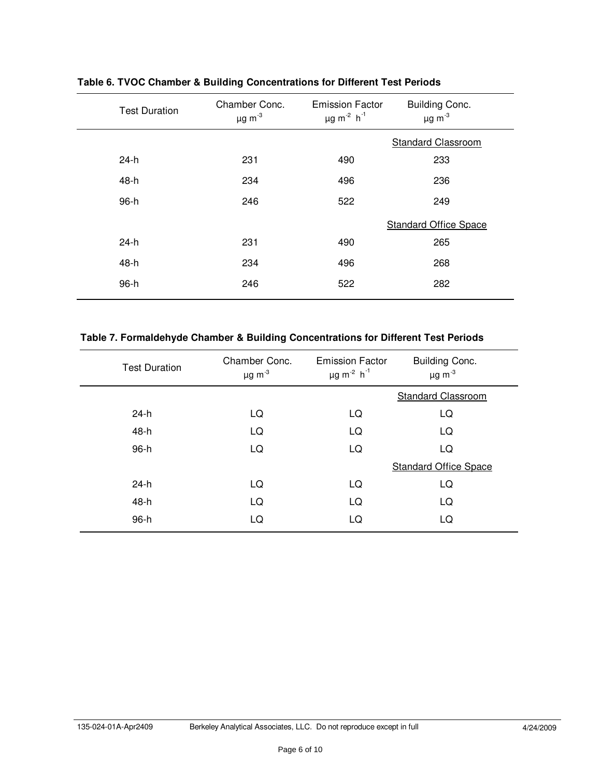| <b>Test Duration</b> | Chamber Conc.<br>$\mu$ g m <sup>-3</sup> | <b>Emission Factor</b><br>$\mu$ g m <sup>-2</sup> h <sup>-1</sup> | Building Conc.<br>$\mu$ g m $^{-3}$ |
|----------------------|------------------------------------------|-------------------------------------------------------------------|-------------------------------------|
|                      |                                          |                                                                   | <b>Standard Classroom</b>           |
| 24-h                 | 231                                      | 490                                                               | 233                                 |
| 48-h                 | 234                                      | 496                                                               | 236                                 |
| 96-h                 | 246                                      | 522                                                               | 249                                 |
|                      |                                          |                                                                   | <b>Standard Office Space</b>        |
| $24-h$               | 231                                      | 490                                                               | 265                                 |
| 48-h                 | 234                                      | 496                                                               | 268                                 |
| 96-h                 | 246                                      | 522                                                               | 282                                 |

**Table 6. TVOC Chamber & Building Concentrations for Different Test Periods**

## **Table 7. Formaldehyde Chamber & Building Concentrations for Different Test Periods**

| <b>Test Duration</b> | Chamber Conc.<br>$\mu$ g m $^{-3}$ | <b>Emission Factor</b><br>$\mu$ g m <sup>-2</sup> h <sup>-1</sup> | Building Conc.<br>$\mu$ g m <sup>-3</sup> |
|----------------------|------------------------------------|-------------------------------------------------------------------|-------------------------------------------|
|                      |                                    |                                                                   | <b>Standard Classroom</b>                 |
| 24-h                 | LQ                                 | LQ                                                                | LQ                                        |
| 48-h                 | LQ                                 | LQ                                                                | LQ                                        |
| 96-h                 | LQ                                 | LQ                                                                | LQ                                        |
|                      |                                    |                                                                   | <b>Standard Office Space</b>              |
| $24-h$               | LQ                                 | LQ                                                                | LQ                                        |
| 48-h                 | LQ                                 | LQ                                                                | LQ                                        |
| 96-h                 | LQ                                 | LQ                                                                | LQ                                        |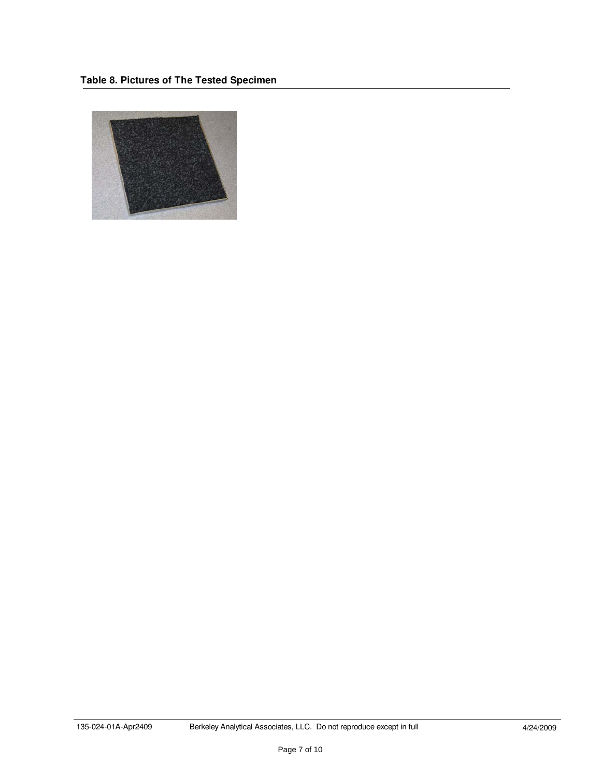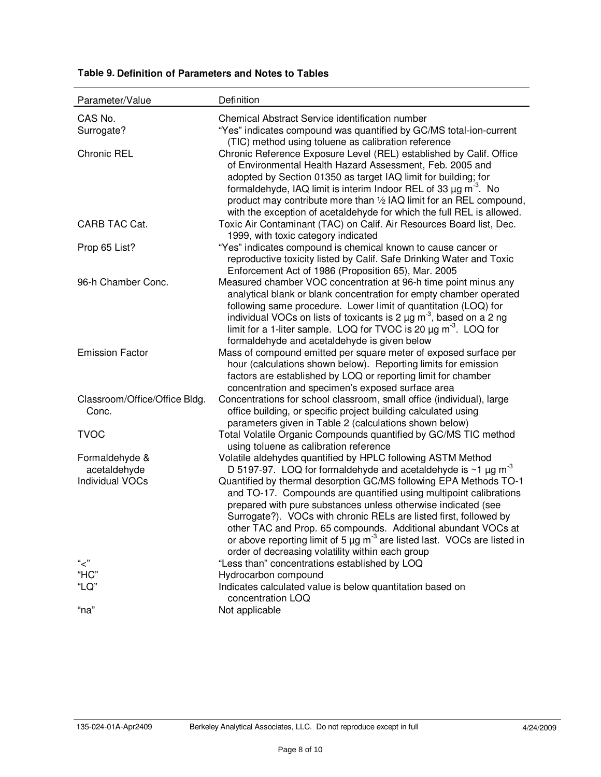| Parameter/Value                | Definition                                                                                                                                          |
|--------------------------------|-----------------------------------------------------------------------------------------------------------------------------------------------------|
| CAS No.                        | Chemical Abstract Service identification number                                                                                                     |
| Surrogate?                     | "Yes" indicates compound was quantified by GC/MS total-ion-current                                                                                  |
|                                | (TIC) method using toluene as calibration reference                                                                                                 |
| <b>Chronic REL</b>             | Chronic Reference Exposure Level (REL) established by Calif. Office                                                                                 |
|                                | of Environmental Health Hazard Assessment, Feb. 2005 and                                                                                            |
|                                | adopted by Section 01350 as target IAQ limit for building; for<br>formaldehyde, IAQ limit is interim Indoor REL of 33 $\mu$ g m <sup>-3</sup> . No  |
|                                | product may contribute more than 1/2 IAQ limit for an REL compound,                                                                                 |
|                                | with the exception of acetaldehyde for which the full REL is allowed.                                                                               |
| CARB TAC Cat.                  | Toxic Air Contaminant (TAC) on Calif. Air Resources Board list, Dec.                                                                                |
|                                | 1999, with toxic category indicated                                                                                                                 |
| Prop 65 List?                  | "Yes" indicates compound is chemical known to cause cancer or                                                                                       |
|                                | reproductive toxicity listed by Calif. Safe Drinking Water and Toxic                                                                                |
|                                | Enforcement Act of 1986 (Proposition 65), Mar. 2005                                                                                                 |
| 96-h Chamber Conc.             | Measured chamber VOC concentration at 96-h time point minus any<br>analytical blank or blank concentration for empty chamber operated               |
|                                | following same procedure. Lower limit of quantitation (LOQ) for                                                                                     |
|                                | individual VOCs on lists of toxicants is 2 $\mu$ g m <sup>-3</sup> , based on a 2 ng                                                                |
|                                | limit for a 1-liter sample. LOQ for TVOC is 20 $\mu$ g m <sup>-3</sup> . LOQ for                                                                    |
|                                | formaldehyde and acetaldehyde is given below                                                                                                        |
| <b>Emission Factor</b>         | Mass of compound emitted per square meter of exposed surface per                                                                                    |
|                                | hour (calculations shown below). Reporting limits for emission                                                                                      |
|                                | factors are established by LOQ or reporting limit for chamber<br>concentration and specimen's exposed surface area                                  |
| Classroom/Office/Office Bldg.  | Concentrations for school classroom, small office (individual), large                                                                               |
| Conc.                          | office building, or specific project building calculated using                                                                                      |
|                                | parameters given in Table 2 (calculations shown below)                                                                                              |
| <b>TVOC</b>                    | Total Volatile Organic Compounds quantified by GC/MS TIC method                                                                                     |
|                                | using toluene as calibration reference                                                                                                              |
| Formaldehyde &<br>acetaldehyde | Volatile aldehydes quantified by HPLC following ASTM Method<br>D 5197-97. LOQ for formaldehyde and acetaldehyde is $\sim$ 1 $\mu$ g m <sup>-3</sup> |
| <b>Individual VOCs</b>         | Quantified by thermal desorption GC/MS following EPA Methods TO-1                                                                                   |
|                                | and TO-17. Compounds are quantified using multipoint calibrations                                                                                   |
|                                | prepared with pure substances unless otherwise indicated (see                                                                                       |
|                                | Surrogate?). VOCs with chronic RELs are listed first, followed by                                                                                   |
|                                | other TAC and Prop. 65 compounds. Additional abundant VOCs at                                                                                       |
|                                | or above reporting limit of 5 $\mu$ g m <sup>-3</sup> are listed last. VOCs are listed in<br>order of decreasing volatility within each group       |
| "ح"                            | "Less than" concentrations established by LOQ                                                                                                       |
| "HC"                           | Hydrocarbon compound                                                                                                                                |
| "LQ"                           | Indicates calculated value is below quantitation based on                                                                                           |
|                                | concentration LOQ                                                                                                                                   |
| "na"                           | Not applicable                                                                                                                                      |

## **Table 9. Definition of Parameters and Notes to Tables**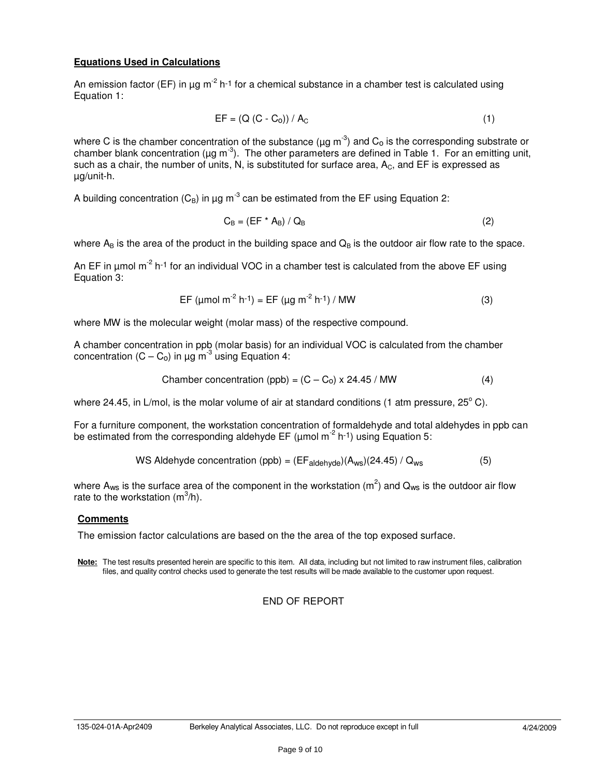#### **Equations Used in Calculations**

An emission factor (EF) in  $\mu$ g m<sup>-2</sup> h<sup>-1</sup> for a chemical substance in a chamber test is calculated using Equation 1:

$$
EF = (Q (C - Co)) / AC
$$
 (1)

where C is the chamber concentration of the substance ( $\mu$ g m<sup>-3</sup>) and C<sub>o</sub> is the corresponding substrate or chamber blank concentration (µg m<sup>-3</sup>). The other parameters are defined in Table 1. For an emitting unit, such as a chair, the number of units, N, is substituted for surface area,  $A<sub>C</sub>$ , and EF is expressed as µg/unit-h.

A building concentration ( $C_B$ ) in µg m<sup>-3</sup> can be estimated from the EF using Equation 2:

$$
C_{\rm B} = (EF^* A_{\rm B}) / Q_{\rm B} \tag{2}
$$

where  $A_B$  is the area of the product in the building space and  $Q_B$  is the outdoor air flow rate to the space.

An EF in  $\mu$ mol m<sup>-2</sup> h<sup>-1</sup> for an individual VOC in a chamber test is calculated from the above EF using Equation 3:

$$
EF (µmol m-2 h-1) = EF (µg m-2 h-1) / MW
$$
 (3)

where MW is the molecular weight (molar mass) of the respective compound.

A chamber concentration in ppb (molar basis) for an individual VOC is calculated from the chamber concentration  $(C - C_0)$  in  $\mu$ g m<sup>-3</sup> using Equation 4:

$$
Chamber concentration (ppb) = (C - C0) \times 24.45 / MW
$$
 (4)

where 24.45, in L/mol, is the molar volume of air at standard conditions (1 atm pressure, 25 $^{\circ}$  C).

For a furniture component, the workstation concentration of formaldehyde and total aldehydes in ppb can be estimated from the corresponding aldehyde EF ( $\mu$ mol m<sup>-2</sup> h<sup>-1</sup>) using Equation 5:

WS Aldehyde concentration (ppb) = 
$$
(EF_{aldehyde})(A_{ws})(24.45) / Q_{ws}
$$
 (5)

where A<sub>ws</sub> is the surface area of the component in the workstation (m<sup>2</sup>) and Q<sub>ws</sub> is the outdoor air flow rate to the workstation  $(m^3/h)$ .

#### **Comments**

The emission factor calculations are based on the the area of the top exposed surface.

**Note:** The test results presented herein are specific to this item. All data, including but not limited to raw instrument files, calibration files, and quality control checks used to generate the test results will be made available to the customer upon request.

#### END OF REPORT